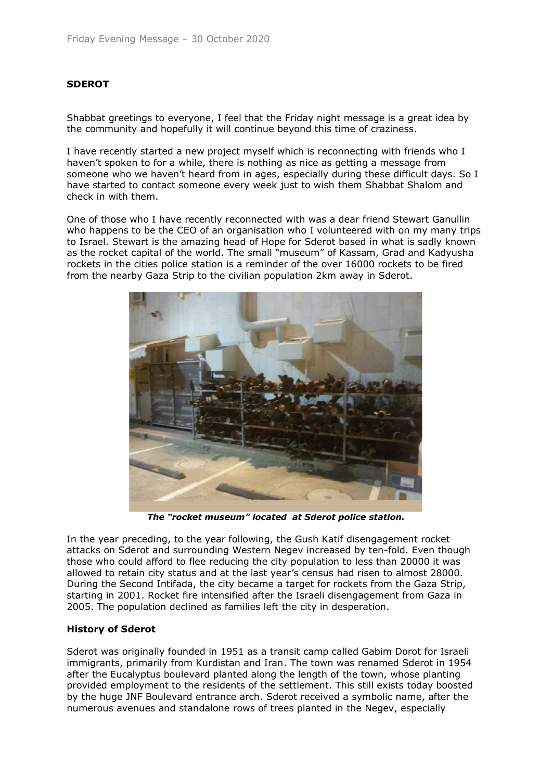## **SDEROT**

Shabbat greetings to everyone, I feel that the Friday night message is a great idea by the community and hopefully it will continue beyond this time of craziness.

I have recently started a new project myself which is reconnecting with friends who I haven't spoken to for a while, there is nothing as nice as getting a message from someone who we haven't heard from in ages, especially during these difficult days. So I have started to contact someone every week just to wish them Shabbat Shalom and check in with them.

One of those who I have recently reconnected with was a dear friend Stewart Ganullin who happens to be the CEO of an organisation who I volunteered with on my many trips to Israel. Stewart is the amazing head of Hope for Sderot based in what is sadly known as the rocket capital of the world. The small "museum" of Kassam, Grad and Kadyusha rockets in the cities police station is a reminder of the over 16000 rockets to be fired from the nearby Gaza Strip to the civilian population 2km away in Sderot.



*The "rocket museum" located at Sderot police station.*

In the year preceding, to the year following, the Gush Katif disengagement rocket attacks on Sderot and surrounding Western Negev increased by ten-fold. Even though those who could afford to flee reducing the city population to less than 20000 it was allowed to retain city status and at the last year's census had risen to almost 28000. During the Second Intifada, the city became a target for rockets from the Gaza Strip, starting in 2001. Rocket fire intensified after the Israeli disengagement from Gaza in 2005. The population declined as families left the city in desperation.

## **History of Sderot**

Sderot was originally founded in 1951 as a transit camp called Gabim Dorot for Israeli immigrants, primarily from Kurdistan and Iran. The town was renamed Sderot in 1954 after the Eucalyptus boulevard planted along the length of the town, whose planting provided employment to the residents of the settlement. This still exists today boosted by the huge JNF Boulevard entrance arch. Sderot received a symbolic name, after the numerous avenues and standalone rows of trees planted in the Negev, especially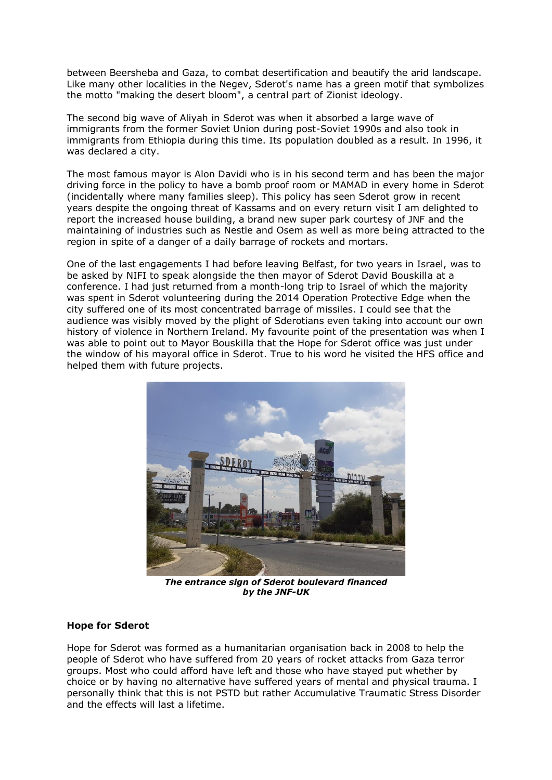between Beersheba and Gaza, to combat desertification and beautify the arid landscape. Like many other localities in the Negev, Sderot's name has a green motif that symbolizes the motto "making the desert bloom", a central part of Zionist ideology.

The second big wave of Aliyah in Sderot was when it absorbed a large wave of immigrants from the former Soviet Union during post-Soviet 1990s and also took in immigrants from Ethiopia during this time. Its population doubled as a result. In 1996, it was declared a city.

The most famous mayor is Alon Davidi who is in his second term and has been the major driving force in the policy to have a bomb proof room or MAMAD in every home in Sderot (incidentally where many families sleep). This policy has seen Sderot grow in recent years despite the ongoing threat of Kassams and on every return visit I am delighted to report the increased house building, a brand new super park courtesy of JNF and the maintaining of industries such as Nestle and Osem as well as more being attracted to the region in spite of a danger of a daily barrage of rockets and mortars.

One of the last engagements I had before leaving Belfast, for two years in Israel, was to be asked by NIFI to speak alongside the then mayor of Sderot David Bouskilla at a conference. I had just returned from a month-long trip to Israel of which the majority was spent in Sderot volunteering during the 2014 Operation Protective Edge when the city suffered one of its most concentrated barrage of missiles. I could see that the audience was visibly moved by the plight of Sderotians even taking into account our own history of violence in Northern Ireland. My favourite point of the presentation was when I was able to point out to Mayor Bouskilla that the Hope for Sderot office was just under the window of his mayoral office in Sderot. True to his word he visited the HFS office and helped them with future projects.



*The entrance sign of Sderot boulevard financed by the JNF-UK*

## **Hope for Sderot**

Hope for Sderot was formed as a humanitarian organisation back in 2008 to help the people of Sderot who have suffered from 20 years of rocket attacks from Gaza terror groups. Most who could afford have left and those who have stayed put whether by choice or by having no alternative have suffered years of mental and physical trauma. I personally think that this is not PSTD but rather Accumulative Traumatic Stress Disorder and the effects will last a lifetime.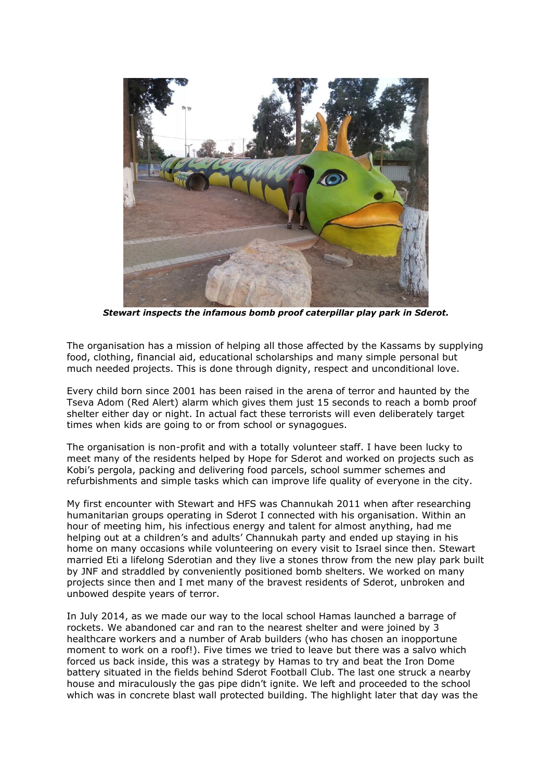

*Stewart inspects the infamous bomb proof caterpillar play park in Sderot.*

The organisation has a mission of helping all those affected by the Kassams by supplying food, clothing, financial aid, educational scholarships and many simple personal but much needed projects. This is done through dignity, respect and unconditional love.

Every child born since 2001 has been raised in the arena of terror and haunted by the Tseva Adom (Red Alert) alarm which gives them just 15 seconds to reach a bomb proof shelter either day or night. In actual fact these terrorists will even deliberately target times when kids are going to or from school or synagogues.

The organisation is non-profit and with a totally volunteer staff. I have been lucky to meet many of the residents helped by Hope for Sderot and worked on projects such as Kobi's pergola, packing and delivering food parcels, school summer schemes and refurbishments and simple tasks which can improve life quality of everyone in the city.

My first encounter with Stewart and HFS was Channukah 2011 when after researching humanitarian groups operating in Sderot I connected with his organisation. Within an hour of meeting him, his infectious energy and talent for almost anything, had me helping out at a children's and adults' Channukah party and ended up staying in his home on many occasions while volunteering on every visit to Israel since then. Stewart married Eti a lifelong Sderotian and they live a stones throw from the new play park built by JNF and straddled by conveniently positioned bomb shelters. We worked on many projects since then and I met many of the bravest residents of Sderot, unbroken and unbowed despite years of terror.

In July 2014, as we made our way to the local school Hamas launched a barrage of rockets. We abandoned car and ran to the nearest shelter and were joined by 3 healthcare workers and a number of Arab builders (who has chosen an inopportune moment to work on a roof!). Five times we tried to leave but there was a salvo which forced us back inside, this was a strategy by Hamas to try and beat the Iron Dome battery situated in the fields behind Sderot Football Club. The last one struck a nearby house and miraculously the gas pipe didn't ignite. We left and proceeded to the school which was in concrete blast wall protected building. The highlight later that day was the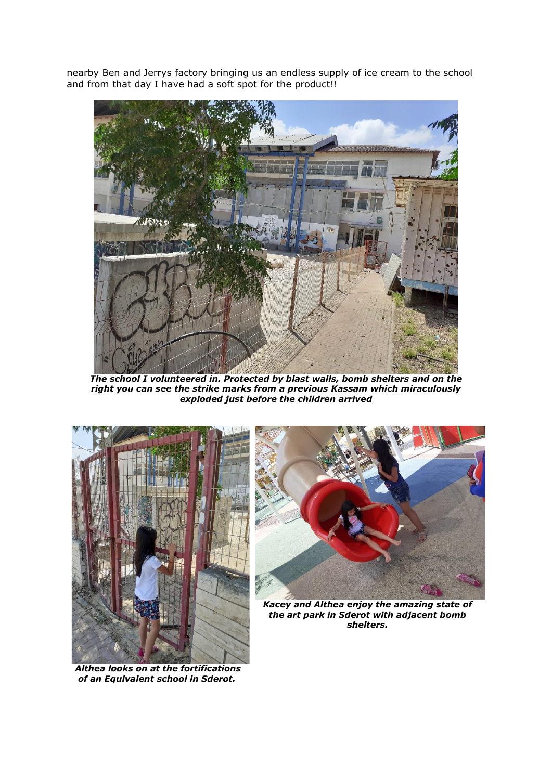nearby Ben and Jerrys factory bringing us an endless supply of ice cream to the school and from that day I have had a soft spot for the product!!



*The school I volunteered in. Protected by blast walls, bomb shelters and on the right you can see the strike marks from a previous Kassam which miraculously exploded just before the children arrived*



 *Althea looks on at the fortifications of an Equivalent school in Sderot.*



*Kacey and Althea enjoy the amazing state of the art park in Sderot with adjacent bomb shelters.*